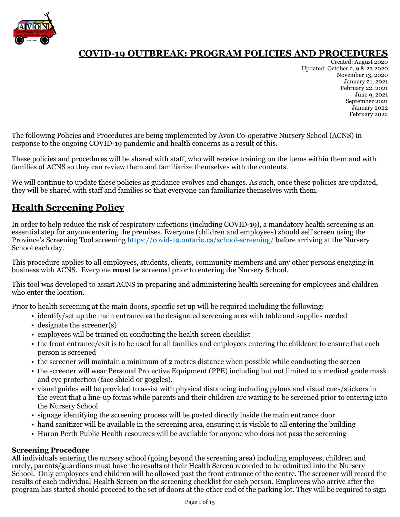

Created: August 2020 Updated: October 2, 9 & 23 2020 November 13, 2020 January 21, 2021 February 22, 2021 June 9, 2021 September 2021 January 2022 February 2022

The following Policies and Procedures are being implemented by Avon Co-operative Nursery School (ACNS) in response to the ongoing COVID-19 pandemic and health concerns as a result of this.

These policies and procedures will be shared with staff, who will receive training on the items within them and with families of ACNS so they can review them and familiarize themselves with the contents.

We will continue to update these policies as guidance evolves and changes. As such, once these policies are updated, they will be shared with staff and families so that everyone can familiarize themselves with them.

# **Health Screening Policy**

In order to help reduce the risk of respiratory infections (including COVID-19), a mandatory health screening is an essential step for anyone entering the premises. Everyone (children and employees) should self screen using the Province's Screening Tool screening<https://covid-19.ontario.ca/school-screening/> before arriving at the Nursery School each day.

This procedure applies to all employees, students, clients, community members and any other persons engaging in business with ACNS. Everyone **must** be screened prior to entering the Nursery School.

This tool was developed to assist ACNS in preparing and administering health screening for employees and children who enter the location.

Prior to health screening at the main doors, specific set up will be required including the following:

- identify/set up the main entrance as the designated screening area with table and supplies needed
- designate the screener(s)
- employees will be trained on conducting the health screen checklist
- the front entrance/exit is to be used for all families and employees entering the childcare to ensure that each person is screened
- the screener will maintain a minimum of 2 metres distance when possible while conducting the screen
- the screener will wear Personal Protective Equipment (PPE) including but not limited to a medical grade mask and eye protection (face shield or goggles).
- visual guides will be provided to assist with physical distancing including pylons and visual cues/stickers in the event that a line-up forms while parents and their children are waiting to be screened prior to entering into the Nursery School
- signage identifying the screening process will be posted directly inside the main entrance door
- hand sanitizer will be available in the screening area, ensuring it is visible to all entering the building
- Huron Perth Public Health resources will be available for anyone who does not pass the screening

### **Screening Procedure**

All individuals entering the nursery school (going beyond the screening area) including employees, children and rarely, parents/guardians must have the results of their Health Screen recorded to be admitted into the Nursery School. Only employees and children will be allowed past the front entrance of the centre. The screener will record the results of each individual Health Screen on the screening checklist for each person. Employees who arrive after the program has started should proceed to the set of doors at the other end of the parking lot. They will be required to sign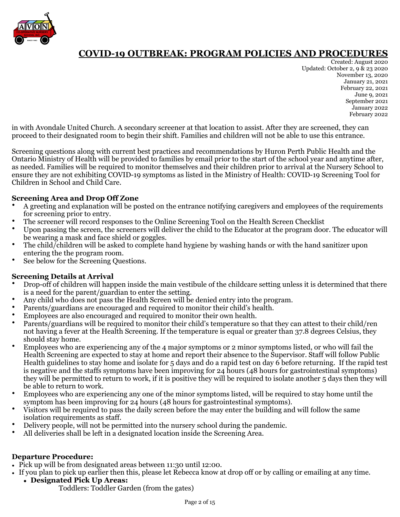

Created: August 2020 Updated: October 2, 9 & 23 2020 November 13, 2020 January 21, 2021 February 22, 2021 June 9, 2021 September 2021 January 2022 February 2022

in with Avondale United Church. A secondary screener at that location to assist. After they are screened, they can proceed to their designated room to begin their shift. Families and children will not be able to use this entrance.

Screening questions along with current best practices and recommendations by Huron Perth Public Health and the Ontario Ministry of Health will be provided to families by email prior to the start of the school year and anytime after, as needed. Families will be required to monitor themselves and their children prior to arrival at the Nursery School to ensure they are not exhibiting COVID-19 symptoms as listed in the Ministry of Health: COVID-19 Screening Tool for Children in School and Child Care.

### **Screening Area and Drop Off Zone**

- A greeting and explanation will be posted on the entrance notifying caregivers and employees of the requirements for screening prior to entry.
- The screener will record responses to the Online Screening Tool on the Health Screen Checklist
- Upon passing the screen, the screeners will deliver the child to the Educator at the program door. The educator will be wearing a mask and face shield or goggles.
- The child/children will be asked to complete hand hygiene by washing hands or with the hand sanitizer upon entering the the program room.
- See below for the Screening Questions.

### **Screening Details at Arrival**

- Drop-off of children will happen inside the main vestibule of the childcare setting unless it is determined that there is a need for the parent/guardian to enter the setting.
- Any child who does not pass the Health Screen will be denied entry into the program.
- Parents/guardians are encouraged and required to monitor their child's health.
- Employees are also encouraged and required to monitor their own health.
- Parents/guardians will be required to monitor their child's temperature so that they can attest to their child/ren not having a fever at the Health Screening. If the temperature is equal or greater than 37.8 degrees Celsius, they should stay home.
- Employees who are experiencing any of the 4 major symptoms or 2 minor symptoms listed, or who will fail the Health Screening are expected to stay at home and report their absence to the Supervisor. Staff will follow Public Health guidelines to stay home and isolate for 5 days and do a rapid test on day 6 before returning. If the rapid test is negative and the staffs symptoms have been improving for 24 hours (48 hours for gastrointestinal symptoms) they will be permitted to return to work, if it is positive they will be required to isolate another 5 days then they will be able to return to work.
- Employees who are experiencing any one of the minor symptoms listed, will be required to stay home until the symptom has been improving for 24 hours (48 hours for gastrointestinal symptoms).
- Visitors will be required to pass the daily screen before the may enter the building and will follow the same isolation requirements as staff.
- Delivery people, will not be permitted into the nursery school during the pandemic.
- All deliveries shall be left in a designated location inside the Screening Area.

### **Departure Procedure:**

- Pick up will be from designated areas between 11:30 until 12:00.
- If you plan to pick up earlier then this, please let Rebecca know at drop off or by calling or emailing at any time. **• Designated Pick Up Areas:**
	- Toddlers: Toddler Garden (from the gates)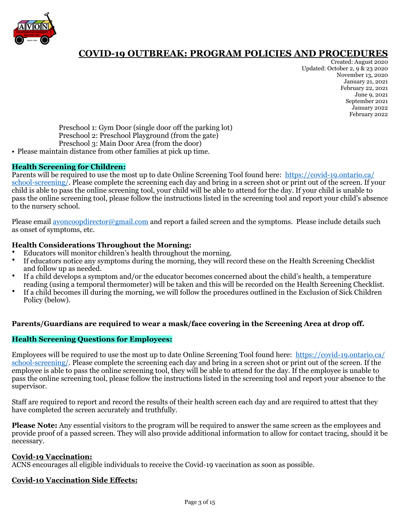

Created: August 2020 Updated: October 2, 9 & 23 2020 November 13, 2020 January 21, 2021 February 22, 2021 June 9, 2021 September 2021 January 2022 February 2022

Preschool 1: Gym Door (single door off the parking lot) Preschool 2: Preschool Playground (from the gate) Preschool 3: Main Door Area (from the door)

• Please maintain distance from other families at pick up time.

### **Health Screening for Children:**

Parents will be required to use the most up to date Online Screening Tool found here: [https://covid-19.ontario.ca/](https://covid-19.ontario.ca/school-screening/) [school-screening/](https://covid-19.ontario.ca/school-screening/). Please complete the screening each day and bring in a screen shot or print out of the screen. If your child is able to pass the online screening tool, your child will be able to attend for the day. If your child is unable to pass the online screening tool, please follow the instructions listed in the screening tool and report your child's absence to the nursery school.

Please email [avoncoopdirector@gmail.com](mailto:avoncoopdirector@gmail.com) and report a failed screen and the symptoms. Please include details such as onset of symptoms, etc.

#### **Health Considerations Throughout the Morning:**

- Educators will monitor children's health throughout the morning.
- If educators notice any symptoms during the morning, they will record these on the Health Screening Checklist and follow up as needed.
- If a child develops a symptom and/or the educator becomes concerned about the child's health, a temperature reading (using a temporal thermometer) will be taken and this will be recorded on the Health Screening Checklist.
- If a child becomes ill during the morning, we will follow the procedures outlined in the Exclusion of Sick Children Policy (below).

#### **Parents/Guardians are required to wear a mask/face covering in the Screening Area at drop off.**

#### **Health Screening Questions for Employees:**

Employees will be required to use the most up to date Online Screening Tool found here: [https://covid-19.ontario.ca/](https://covid-19.ontario.ca/school-screening/) [school-screening/](https://covid-19.ontario.ca/school-screening/). Please complete the screening each day and bring in a screen shot or print out of the screen. If the employee is able to pass the online screening tool, they will be able to attend for the day. If the employee is unable to pass the online screening tool, please follow the instructions listed in the screening tool and report your absence to the supervisor.

Staff are required to report and record the results of their health screen each day and are required to attest that they have completed the screen accurately and truthfully.

**Please Note:** Any essential visitors to the program will be required to answer the same screen as the employees and provide proof of a passed screen. They will also provide additional information to allow for contact tracing, should it be necessary.

#### **Covid-19 Vaccination:**

ACNS encourages all eligible individuals to receive the Covid-19 vaccination as soon as possible.

#### **Covid-10 Vaccination Side Effects:**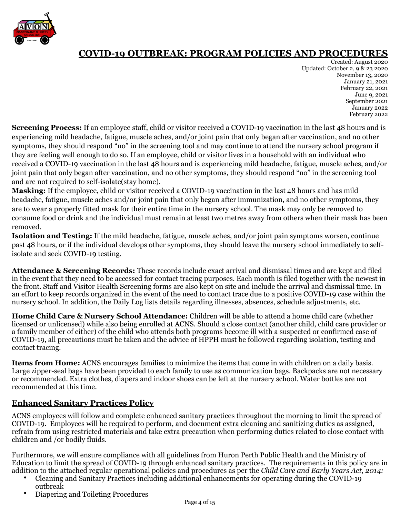

Created: August 2020 Updated: October 2, 9 & 23 2020 November 13, 2020 January 21, 2021 February 22, 2021 June 9, 2021 September 2021 January 2022 February 2022

**Screening Process:** If an employee staff, child or visitor received a COVID-19 vaccination in the last 48 hours and is experiencing mild headache, fatigue, muscle aches, and/or joint pain that only began after vaccination, and no other symptoms, they should respond "no" in the screening tool and may continue to attend the nursery school program if they are feeling well enough to do so. If an employee, child or visitor lives in a household with an individual who received a COVID-19 vaccination in the last 48 hours and is experiencing mild headache, fatigue, muscle aches, and/or joint pain that only began after vaccination, and no other symptoms, they should respond "no" in the screening tool and are not required to self-isolate(stay home).

**Masking:** If the employee, child or visitor received a COVID-19 vaccination in the last 48 hours and has mild headache, fatigue, muscle aches and/or joint pain that only began after immunization, and no other symptoms, they are to wear a properly fitted mask for their entire time in the nursery school. The mask may only be removed to consume food or drink and the individual must remain at least two metres away from others when their mask has been removed.

**Isolation and Testing:** If the mild headache, fatigue, muscle aches, and/or joint pain symptoms worsen, continue past 48 hours, or if the individual develops other symptoms, they should leave the nursery school immediately to selfisolate and seek COVID-19 testing.

**Attendance & Screening Records:** These records include exact arrival and dismissal times and are kept and filed in the event that they need to be accessed for contact tracing purposes. Each month is filed together with the newest in the front. Staff and Visitor Health Screening forms are also kept on site and include the arrival and dismissal time. In an effort to keep records organized in the event of the need to contact trace due to a positive COVID-19 case within the nursery school. In addition, the Daily Log lists details regarding illnesses, absences, schedule adjustments, etc.

**Home Child Care & Nursery School Attendance:** Children will be able to attend a home child care (whether licensed or unlicensed) while also being enrolled at ACNS. Should a close contact (another child, child care provider or a family member of either) of the child who attends both programs become ill with a suspected or confirmed case of COVID-19, all precautions must be taken and the advice of HPPH must be followed regarding isolation, testing and contact tracing.

**Items from Home:** ACNS encourages families to minimize the items that come in with children on a daily basis. Large zipper-seal bags have been provided to each family to use as communication bags. Backpacks are not necessary or recommended. Extra clothes, diapers and indoor shoes can be left at the nursery school. Water bottles are not recommended at this time.

### **Enhanced Sanitary Practices Policy**

ACNS employees will follow and complete enhanced sanitary practices throughout the morning to limit the spread of COVID-19. Employees will be required to perform, and document extra cleaning and sanitizing duties as assigned, refrain from using restricted materials and take extra precaution when performing duties related to close contact with children and /or bodily fluids.

Furthermore, we will ensure compliance with all guidelines from Huron Perth Public Health and the Ministry of Education to limit the spread of COVID-19 through enhanced sanitary practices. The requirements in this policy are in addition to the attached regular operational policies and procedures as per the *Child Care and Early Years Act, 2014:*

- Cleaning and Sanitary Practices including additional enhancements for operating during the COVID-19 outbreak
- Diapering and Toileting Procedures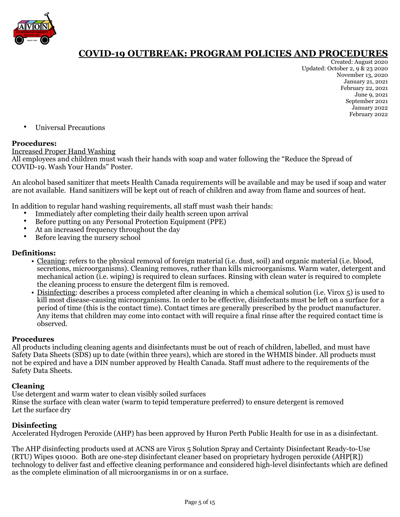

Created: August 2020 Updated: October 2, 9 & 23 2020 November 13, 2020 January 21, 2021 February 22, 2021 June 9, 2021 September 2021 January 2022 February 2022

• Universal Precautions

### **Procedures:**

#### Increased Proper Hand Washing

All employees and children must wash their hands with soap and water following the "Reduce the Spread of COVID-19. Wash Your Hands" Poster.

An alcohol based sanitizer that meets Health Canada requirements will be available and may be used if soap and water are not available. Hand sanitizers will be kept out of reach of children and away from flame and sources of heat.

In addition to regular hand washing requirements, all staff must wash their hands:

- Immediately after completing their daily health screen upon arrival
- Before putting on any Personal Protection Equipment (PPE)
- At an increased frequency throughout the day
- Before leaving the nursery school

### **Definitions:**

- Cleaning: refers to the physical removal of foreign material (i.e. dust, soil) and organic material (i.e. blood, secretions, microorganisms). Cleaning removes, rather than kills microorganisms. Warm water, detergent and mechanical action (i.e. wiping) is required to clean surfaces. Rinsing with clean water is required to complete the cleaning process to ensure the detergent film is removed.
- Disinfecting: describes a process completed after cleaning in which a chemical solution (i.e. Virox 5) is used to kill most disease-causing microorganisms. In order to be effective, disinfectants must be left on a surface for a period of time (this is the contact time). Contact times are generally prescribed by the product manufacturer. Any items that children may come into contact with will require a final rinse after the required contact time is observed.

### **Procedures**

All products including cleaning agents and disinfectants must be out of reach of children, labelled, and must have Safety Data Sheets (SDS) up to date (within three years), which are stored in the WHMIS binder. All products must not be expired and have a DIN number approved by Health Canada. Staff must adhere to the requirements of the Safety Data Sheets.

### **Cleaning**

Use detergent and warm water to clean visibly soiled surfaces Rinse the surface with clean water (warm to tepid temperature preferred) to ensure detergent is removed Let the surface dry

### **Disinfecting**

Accelerated Hydrogen Peroxide (AHP) has been approved by Huron Perth Public Health for use in as a disinfectant.

The AHP disinfecting products used at ACNS are Virox 5 Solution Spray and Certainty Disinfectant Ready-to-Use (RTU) Wipes 91000. Both are one-step disinfectant cleaner based on proprietary hydrogen peroxide (AHP[R]) technology to deliver fast and effective cleaning performance and considered high-level disinfectants which are defined as the complete elimination of all microorganisms in or on a surface.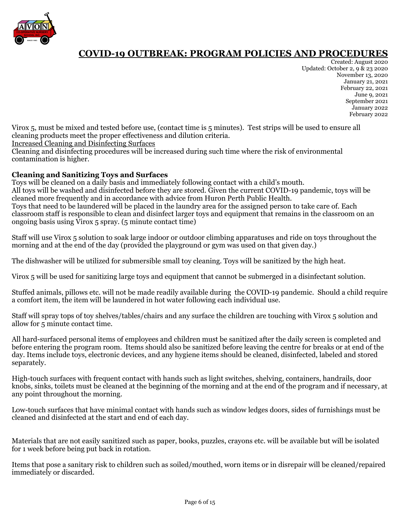

Created: August 2020 Updated: October 2, 9 & 23 2020 November 13, 2020 January 21, 2021 February 22, 2021 June 9, 2021 September 2021 January 2022 February 2022

Virox 5, must be mixed and tested before use, (contact time is 5 minutes). Test strips will be used to ensure all cleaning products meet the proper effectiveness and dilution criteria.

Increased Cleaning and Disinfecting Surfaces

Cleaning and disinfecting procedures will be increased during such time where the risk of environmental contamination is higher.

### **Cleaning and Sanitizing Toys and Surfaces**

Toys will be cleaned on a daily basis and immediately following contact with a child's mouth. All toys will be washed and disinfected before they are stored. Given the current COVID-19 pandemic, toys will be cleaned more frequently and in accordance with advice from Huron Perth Public Health. Toys that need to be laundered will be placed in the laundry area for the assigned person to take care of. Each classroom staff is responsible to clean and disinfect larger toys and equipment that remains in the classroom on an ongoing basis using  $\overline{V}$ irox 5 spray. (5 minute contact time)

Staff will use Virox 5 solution to soak large indoor or outdoor climbing apparatuses and ride on toys throughout the morning and at the end of the day (provided the playground or gym was used on that given day.)

The dishwasher will be utilized for submersible small toy cleaning. Toys will be sanitized by the high heat.

Virox 5 will be used for sanitizing large toys and equipment that cannot be submerged in a disinfectant solution.

Stuffed animals, pillows etc. will not be made readily available during the COVID-19 pandemic. Should a child require a comfort item, the item will be laundered in hot water following each individual use.

Staff will spray tops of toy shelves/tables/chairs and any surface the children are touching with Virox 5 solution and allow for 5 minute contact time.

All hard-surfaced personal items of employees and children must be sanitized after the daily screen is completed and before entering the program room. Items should also be sanitized before leaving the centre for breaks or at end of the day. Items include toys, electronic devices, and any hygiene items should be cleaned, disinfected, labeled and stored separately.

High-touch surfaces with frequent contact with hands such as light switches, shelving, containers, handrails, door knobs, sinks, toilets must be cleaned at the beginning of the morning and at the end of the program and if necessary, at any point throughout the morning.

Low-touch surfaces that have minimal contact with hands such as window ledges doors, sides of furnishings must be cleaned and disinfected at the start and end of each day.

Materials that are not easily sanitized such as paper, books, puzzles, crayons etc. will be available but will be isolated for 1 week before being put back in rotation.

Items that pose a sanitary risk to children such as soiled/mouthed, worn items or in disrepair will be cleaned/repaired immediately or discarded.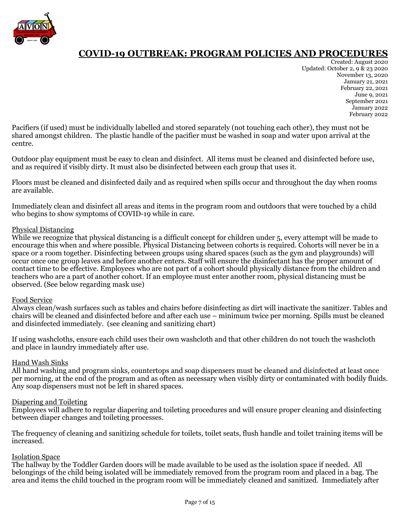

Created: August 2020 Updated: October 2, 9 & 23 2020 November 13, 2020 January 21, 2021 February 22, 2021 June 9, 2021 September 2021 January 2022 February 2022

Pacifiers (if used) must be individually labelled and stored separately (not touching each other), they must not be shared amongst children. The plastic handle of the pacifier must be washed in soap and water upon arrival at the centre.

Outdoor play equipment must be easy to clean and disinfect. All items must be cleaned and disinfected before use, and as required if visibly dirty. It must also be disinfected between each group that uses it.

Floors must be cleaned and disinfected daily and as required when spills occur and throughout the day when rooms are available.

Immediately clean and disinfect all areas and items in the program room and outdoors that were touched by a child who begins to show symptoms of COVID-19 while in care.

### Physical Distancing

While we recognize that physical distancing is a difficult concept for children under 5, every attempt will be made to encourage this when and where possible. Physical Distancing between cohorts is required. Cohorts will never be in a space or a room together. Disinfecting between groups using shared spaces (such as the gym and playgrounds) will occur once one group leaves and before another enters. Staff will ensure the disinfectant has the proper amount of contact time to be effective. Employees who are not part of a cohort should physically distance from the children and teachers who are a part of another cohort. If an employee must enter another room, physical distancing must be observed. (See below regarding mask use)

### Food Service

Always clean/wash surfaces such as tables and chairs before disinfecting as dirt will inactivate the sanitizer. Tables and chairs will be cleaned and disinfected before and after each use – minimum twice per morning. Spills must be cleaned and disinfected immediately. (see cleaning and sanitizing chart)

If using washcloths, ensure each child uses their own washcloth and that other children do not touch the washcloth and place in laundry immediately after use.

### Hand Wash Sinks

All hand washing and program sinks, countertops and soap dispensers must be cleaned and disinfected at least once per morning, at the end of the program and as often as necessary when visibly dirty or contaminated with bodily fluids. Any soap dispensers must not be left in shared spaces.

### Diapering and Toileting

Employees will adhere to regular diapering and toileting procedures and will ensure proper cleaning and disinfecting between diaper changes and toileting processes.

The frequency of cleaning and sanitizing schedule for toilets, toilet seats, flush handle and toilet training items will be increased.

#### Isolation Space

The hallway by the Toddler Garden doors will be made available to be used as the isolation space if needed. All belongings of the child being isolated will be immediately removed from the program room and placed in a bag. The area and items the child touched in the program room will be immediately cleaned and sanitized. Immediately after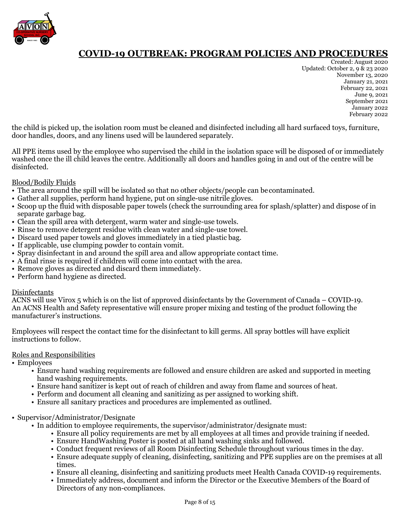

Created: August 2020 Updated: October 2, 9 & 23 2020 November 13, 2020 January 21, 2021 February 22, 2021 June 9, 2021 September 2021 January 2022 February 2022

the child is picked up, the isolation room must be cleaned and disinfected including all hard surfaced toys, furniture, door handles, doors, and any linens used will be laundered separately.

All PPE items used by the employee who supervised the child in the isolation space will be disposed of or immediately washed once the ill child leaves the centre. Additionally all doors and handles going in and out of the centre will be disinfected.

### Blood/Bodily Fluids

- The area around the spill will be isolated so that no other objects/people can be contaminated.
- Gather all supplies, perform hand hygiene, put on single-use nitrile gloves.
- Scoop up the fluid with disposable paper towels (check the surrounding area for splash/splatter) and dispose of in separate garbage bag.
- Clean the spill area with detergent, warm water and single-use towels.
- Rinse to remove detergent residue with clean water and single-use towel.
- Discard used paper towels and gloves immediately in a tied plastic bag.
- If applicable, use clumping powder to contain vomit.
- Spray disinfectant in and around the spill area and allow appropriate contact time.
- A final rinse is required if children will come into contact with the area.
- Remove gloves as directed and discard them immediately.
- Perform hand hygiene as directed.

### Disinfectants

ACNS will use Virox 5 which is on the list of approved disinfectants by the Government of Canada – COVID-19. An ACNS Health and Safety representative will ensure proper mixing and testing of the product following the manufacturer's instructions.

Employees will respect the contact time for the disinfectant to kill germs. All spray bottles will have explicit instructions to follow.

### Roles and Responsibilities

• Employees

- Ensure hand washing requirements are followed and ensure children are asked and supported in meeting hand washing requirements.
- Ensure hand sanitizer is kept out of reach of children and away from flame and sources of heat.
- Perform and document all cleaning and sanitizing as per assigned to working shift.
- Ensure all sanitary practices and procedures are implemented as outlined.
- Supervisor/Administrator/Designate
	- In addition to employee requirements, the supervisor/administrator/designate must:
		- Ensure all policy requirements are met by all employees at all times and provide training if needed.
		- Ensure HandWashing Poster is posted at all hand washing sinks and followed.
		- Conduct frequent reviews of all Room Disinfecting Schedule throughout various times in the day.
		- Ensure adequate supply of cleaning, disinfecting, sanitizing and PPE supplies are on the premises at all times.
		- Ensure all cleaning, disinfecting and sanitizing products meet Health Canada COVID-19 requirements.
		- Immediately address, document and inform the Director or the Executive Members of the Board of Directors of any non-compliances.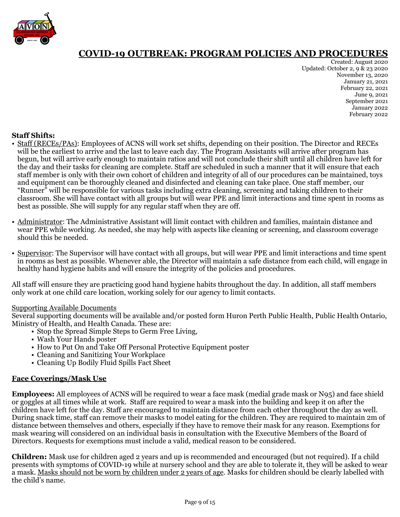

Created: August 2020 Updated: October 2, 9 & 23 2020 November 13, 2020 January 21, 2021 February 22, 2021 June 9, 2021 September 2021 January 2022 February 2022

### **Staff Shifts:**

- Staff (RECEs/PAs): Employees of ACNS will work set shifts, depending on their position. The Director and RECEs will be the earliest to arrive and the last to leave each day. The Program Assistants will arrive after program has begun, but will arrive early enough to maintain ratios and will not conclude their shift until all children have left for the day and their tasks for cleaning are complete. Staff are scheduled in such a manner that it will ensure that each staff member is only with their own cohort of children and integrity of all of our procedures can be maintained, toys and equipment can be thoroughly cleaned and disinfected and cleaning can take place. One staff member, our "Runner" will be responsible for various tasks including extra cleaning, screening and taking children to their classroom. She will have contact with all groups but will wear PPE and limit interactions and time spent in rooms as best as possible. She will supply for any regular staff when they are off.
- Administrator: The Administrative Assistant will limit contact with children and families, maintain distance and wear PPE while working. As needed, she may help with aspects like cleaning or screening, and classroom coverage should this be needed.
- Supervisor: The Supervisor will have contact with all groups, but will wear PPE and limit interactions and time spent in rooms as best as possible. Whenever able, the Director will maintain a safe distance from each child, will engage in healthy hand hygiene habits and will ensure the integrity of the policies and procedures.

All staff will ensure they are practicing good hand hygiene habits throughout the day. In addition, all staff members only work at one child care location, working solely for our agency to limit contacts.

#### Supporting Available Documents

Several supporting documents will be available and/or posted form Huron Perth Public Health, Public Health Ontario, Ministry of Health, and Health Canada. These are:

- Stop the Spread Simple Steps to Germ Free Living,
- Wash Your Hands poster
- How to Put On and Take Off Personal Protective Equipment poster
- Cleaning and Sanitizing Your Workplace
- Cleaning Up Bodily Fluid Spills Fact Sheet

### **Face Coverings/Mask Use**

**Employees:** All employees of ACNS will be required to wear a face mask (medial grade mask or N95) and face shield or goggles at all times while at work. Staff are required to wear a mask into the building and keep it on after the children have left for the day. Staff are encouraged to maintain distance from each other throughout the day as well. During snack time, staff can remove their masks to model eating for the children. They are required to maintain 2m of distance between themselves and others, especially if they have to remove their mask for any reason. Exemptions for mask wearing will considered on an individual basis in consultation with the Executive Members of the Board of Directors. Requests for exemptions must include a valid, medical reason to be considered.

**Children:** Mask use for children aged 2 years and up is recommended and encouraged (but not required). If a child presents with symptoms of COVID-19 while at nursery school and they are able to tolerate it, they will be asked to wear a mask. Masks should not be worn by children under 2 years of age. Masks for children should be clearly labelled with the child's name.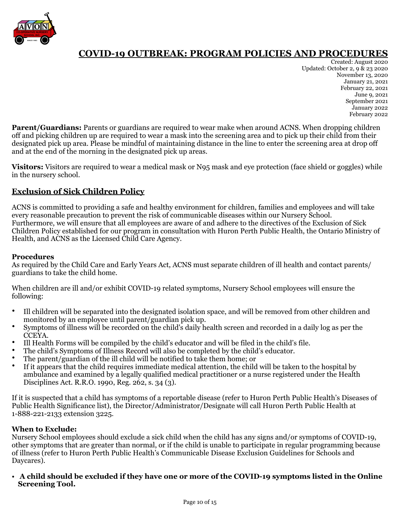

Created: August 2020 Updated: October 2, 9 & 23 2020 November 13, 2020 January 21, 2021 February 22, 2021 June 9, 2021 September 2021 January 2022 February 2022

**Parent/Guardians:** Parents or guardians are required to wear make when around ACNS. When dropping children off and picking children up are required to wear a mask into the screening area and to pick up their child from their designated pick up area. Please be mindful of maintaining distance in the line to enter the screening area at drop off and at the end of the morning in the designated pick up areas.

**Visitors:** Visitors are required to wear a medical mask or N95 mask and eye protection (face shield or goggles) while in the nursery school.

### **Exclusion of Sick Children Policy**

ACNS is committed to providing a safe and healthy environment for children, families and employees and will take every reasonable precaution to prevent the risk of communicable diseases within our Nursery School. Furthermore, we will ensure that all employees are aware of and adhere to the directives of the Exclusion of Sick Children Policy established for our program in consultation with Huron Perth Public Health, the Ontario Ministry of Health, and ACNS as the Licensed Child Care Agency.

### **Procedures**

As required by the Child Care and Early Years Act, ACNS must separate children of ill health and contact parents/ guardians to take the child home.

When children are ill and/or exhibit COVID-19 related symptoms, Nursery School employees will ensure the following:

- Ill children will be separated into the designated isolation space, and will be removed from other children and monitored by an employee until parent/guardian pick up.
- Symptoms of illness will be recorded on the child's daily health screen and recorded in a daily log as per the CCEYA.
- Ill Health Forms will be compiled by the child's educator and will be filed in the child's file.
- The child's Symptoms of Illness Record will also be completed by the child's educator.
- The parent/guardian of the ill child will be notified to take them home; or
- If it appears that the child requires immediate medical attention, the child will be taken to the hospital by ambulance and examined by a legally qualified medical practitioner or a nurse registered under the Health Disciplines Act. R.R.O. 1990, Reg. 262, s. 34 (3).

If it is suspected that a child has symptoms of a reportable disease (refer to Huron Perth Public Health's Diseases of Public Health Significance list), the Director/Administrator/Designate will call Huron Perth Public Health at 1-888-221-2133 extension 3225.

### **When to Exclude:**

Nursery School employees should exclude a sick child when the child has any signs and/or symptoms of COVID-19, other symptoms that are greater than normal, or if the child is unable to participate in regular programming because of illness (refer to Huron Perth Public Health's Communicable Disease Exclusion Guidelines for Schools and Daycares).

• **A child should be excluded if they have one or more of the COVID-19 symptoms listed in the Online Screening Tool.**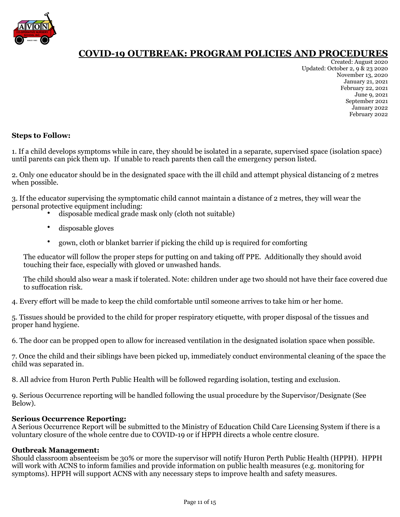

Created: August 2020 Updated: October 2, 9 & 23 2020 November 13, 2020 January 21, 2021 February 22, 2021 June 9, 2021 September 2021 January 2022 February 2022

### **Steps to Follow:**

1. If a child develops symptoms while in care, they should be isolated in a separate, supervised space (isolation space) until parents can pick them up. If unable to reach parents then call the emergency person listed.

2. Only one educator should be in the designated space with the ill child and attempt physical distancing of 2 metres when possible.

3. If the educator supervising the symptomatic child cannot maintain a distance of 2 metres, they will wear the personal protective equipment including:

- disposable medical grade mask only (cloth not suitable)
- disposable gloves
- gown, cloth or blanket barrier if picking the child up is required for comforting

The educator will follow the proper steps for putting on and taking off PPE. Additionally they should avoid touching their face, especially with gloved or unwashed hands.

The child should also wear a mask if tolerated. Note: children under age two should not have their face covered due to suffocation risk.

4. Every effort will be made to keep the child comfortable until someone arrives to take him or her home.

5. Tissues should be provided to the child for proper respiratory etiquette, with proper disposal of the tissues and proper hand hygiene.

6. The door can be propped open to allow for increased ventilation in the designated isolation space when possible.

7. Once the child and their siblings have been picked up, immediately conduct environmental cleaning of the space the child was separated in.

8. All advice from Huron Perth Public Health will be followed regarding isolation, testing and exclusion.

9. Serious Occurrence reporting will be handled following the usual procedure by the Supervisor/Designate (See Below).

### **Serious Occurrence Reporting:**

A Serious Occurrence Report will be submitted to the Ministry of Education Child Care Licensing System if there is a voluntary closure of the whole centre due to COVID-19 or if HPPH directs a whole centre closure.

### **Outbreak Management:**

Should classroom absenteeism be 30% or more the supervisor will notify Huron Perth Public Health (HPPH). HPPH will work with ACNS to inform families and provide information on public health measures (e.g. monitoring for symptoms). HPPH will support ACNS with any necessary steps to improve health and safety measures.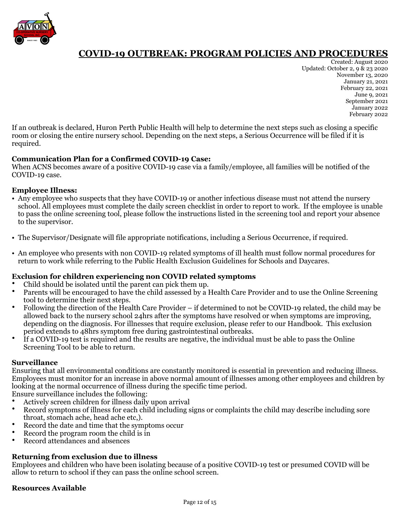

Created: August 2020 Updated: October 2, 9 & 23 2020 November 13, 2020 January 21, 2021 February 22, 2021 June 9, 2021 September 2021 January 2022 February 2022

If an outbreak is declared, Huron Perth Public Health will help to determine the next steps such as closing a specific room or closing the entire nursery school. Depending on the next steps, a Serious Occurrence will be filed if it is required.

### **Communication Plan for a Confirmed COVID-19 Case:**

When ACNS becomes aware of a positive COVID-19 case via a family/employee, all families will be notified of the COVID-19 case.

### **Employee Illness:**

- Any employee who suspects that they have COVID-19 or another infectious disease must not attend the nursery school. All employees must complete the daily screen checklist in order to report to work. If the employee is unable to pass the online screening tool, please follow the instructions listed in the screening tool and report your absence to the supervisor.
- The Supervisor/Designate will file appropriate notifications, including a Serious Occurrence, if required.
- An employee who presents with non COVID-19 related symptoms of ill health must follow normal procedures for return to work while referring to the Public Health Exclusion Guidelines for Schools and Daycares.

### **Exclusion for children experiencing non COVID related symptoms**

- Child should be isolated until the parent can pick them up.
- Parents will be encouraged to have the child assessed by a Health Care Provider and to use the Online Screening tool to determine their next steps.
- Following the direction of the Health Care Provider if determined to not be COVID-19 related, the child may be allowed back to the nursery school 24hrs after the symptoms have resolved or when symptoms are improving, depending on the diagnosis. For illnesses that require exclusion, please refer to our Handbook. This exclusion period extends to 48hrs symptom free during gastrointestinal outbreaks.
- If a COVID-19 test is required and the results are negative, the individual must be able to pass the Online Screening Tool to be able to return.

### **Surveillance**

Ensuring that all environmental conditions are constantly monitored is essential in prevention and reducing illness. Employees must monitor for an increase in above normal amount of illnesses among other employees and children by looking at the normal occurrence of illness during the specific time period.

Ensure surveillance includes the following:

- Actively screen children for illness daily upon arrival
- Record symptoms of illness for each child including signs or complaints the child may describe including sore throat, stomach ache, head ache etc,).
- Record the date and time that the symptoms occur
- Record the program room the child is in
- Record attendances and absences

### **Returning from exclusion due to illness**

Employees and children who have been isolating because of a positive COVID-19 test or presumed COVID will be allow to return to school if they can pass the online school screen.

### **Resources Available**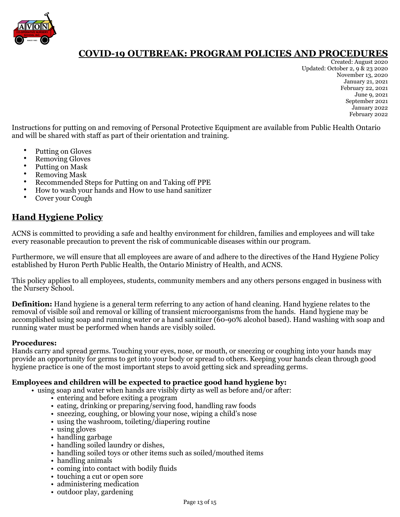

Created: August 2020 Updated: October 2, 9 & 23 2020 November 13, 2020 January 21, 2021 February 22, 2021 June 9, 2021 September 2021 January 2022 February 2022

Instructions for putting on and removing of Personal Protective Equipment are available from Public Health Ontario and will be shared with staff as part of their orientation and training.

- Putting on Gloves
- Removing Gloves
- Putting on Mask
- Removing Mask
- Recommended Steps for Putting on and Taking off PPE
- How to wash your hands and How to use hand sanitizer
- Cover your Cough

### **Hand Hygiene Policy**

ACNS is committed to providing a safe and healthy environment for children, families and employees and will take every reasonable precaution to prevent the risk of communicable diseases within our program.

Furthermore, we will ensure that all employees are aware of and adhere to the directives of the Hand Hygiene Policy established by Huron Perth Public Health, the Ontario Ministry of Health, and ACNS.

This policy applies to all employees, students, community members and any others persons engaged in business with the Nursery School.

**Definition:** Hand hygiene is a general term referring to any action of hand cleaning. Hand hygiene relates to the removal of visible soil and removal or killing of transient microorganisms from the hands. Hand hygiene may be accomplished using soap and running water or a hand sanitizer (60-90% alcohol based). Hand washing with soap and running water must be performed when hands are visibly soiled.

### **Procedures:**

Hands carry and spread germs. Touching your eyes, nose, or mouth, or sneezing or coughing into your hands may provide an opportunity for germs to get into your body or spread to others. Keeping your hands clean through good hygiene practice is one of the most important steps to avoid getting sick and spreading germs.

### **Employees and children will be expected to practice good hand hygiene by:**

- using soap and water when hands are visibly dirty as well as before and/or after:
	- entering and before exiting a program
	- eating, drinking or preparing/serving food, handling raw foods
	- sneezing, coughing, or blowing your nose, wiping a child's nose
	- using the washroom, toileting/diapering routine
	- using gloves
	- handling garbage
	- handling soiled laundry or dishes,
	- handling soiled toys or other items such as soiled/mouthed items
	- handling animals
	- coming into contact with bodily fluids
	- touching a cut or open sore
	- administering medication
	- outdoor play, gardening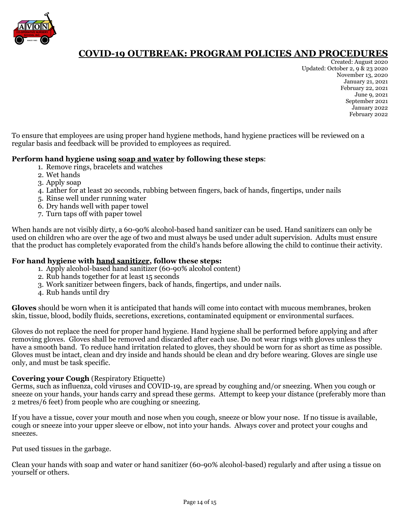

Created: August 2020 Updated: October 2, 9 & 23 2020 November 13, 2020 January 21, 2021 February 22, 2021 June 9, 2021 September 2021 January 2022 February 2022

To ensure that employees are using proper hand hygiene methods, hand hygiene practices will be reviewed on a regular basis and feedback will be provided to employees as required.

### **Perform hand hygiene using soap and water by following these steps**:

- 1. Remove rings, bracelets and watches
- 2. Wet hands
- 3. Apply soap
- 4. Lather for at least 20 seconds, rubbing between fingers, back of hands, fingertips, under nails
- 5. Rinse well under running water
- 6. Dry hands well with paper towel
- 7. Turn taps off with paper towel

When hands are not visibly dirty, a 60-90% alcohol-based hand sanitizer can be used. Hand sanitizers can only be used on children who are over the age of two and must always be used under adult supervision. Adults must ensure that the product has completely evaporated from the child's hands before allowing the child to continue their activity.

### **For hand hygiene with hand sanitizer, follow these steps:**

- 1. Apply alcohol-based hand sanitizer (60-90% alcohol content)
- 2. Rub hands together for at least 15 seconds
- 3. Work sanitizer between fingers, back of hands, fingertips, and under nails.
- 4. Rub hands until dry

**Gloves** should be worn when it is anticipated that hands will come into contact with mucous membranes, broken skin, tissue, blood, bodily fluids, secretions, excretions, contaminated equipment or environmental surfaces.

Gloves do not replace the need for proper hand hygiene. Hand hygiene shall be performed before applying and after removing gloves. Gloves shall be removed and discarded after each use. Do not wear rings with gloves unless they have a smooth band. To reduce hand irritation related to gloves, they should be worn for as short as time as possible. Gloves must be intact, clean and dry inside and hands should be clean and dry before wearing. Gloves are single use only, and must be task specific.

### **Covering your Cough** (Respiratory Etiquette)

Germs, such as influenza, cold viruses and COVID-19, are spread by coughing and/or sneezing. When you cough or sneeze on your hands, your hands carry and spread these germs. Attempt to keep your distance (preferably more than 2 metres/6 feet) from people who are coughing or sneezing.

If you have a tissue, cover your mouth and nose when you cough, sneeze or blow your nose. If no tissue is available, cough or sneeze into your upper sleeve or elbow, not into your hands. Always cover and protect your coughs and sneezes.

Put used tissues in the garbage.

Clean your hands with soap and water or hand sanitizer (60-90% alcohol-based) regularly and after using a tissue on yourself or others.